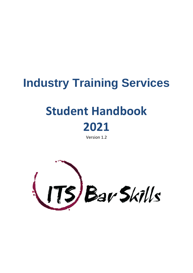# **Industry Training Services**

# **Student Handbook 2021**

Version 1.2

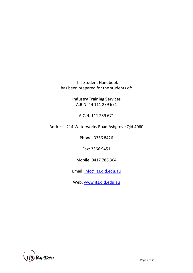This Student Handbook has been prepared for the students of:

> **Industry Training Services**  A.B.N. 44 111 239 671

> > A.C.N. 111 239 671

Address: 214 Waterworks Road Ashgrove Qld 4060

Phone: 3366 8426

Fax: 3366 9451

Mobile: 0417 786 304

Email: [info@its.qld.edu.au](mailto:info@its.qld.edu.au)

Web: [www.its.qld.edu.au](http://www.its.qld.edu.au/)

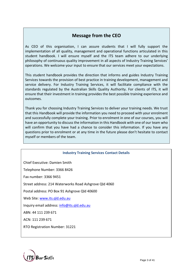# **Message from the CEO**

As CEO of this organisation, I can assure students that I will fully support the implementation of all quality, management and operational functions articulated in this student handbook. I will ensure myself and the ITS team adhere to our underlying philosophy of continuous quality improvement in all aspects of Industry Training Services' operations. We welcome your input to ensure that our services meet your expectations.

This student handbook provides the direction that informs and guides Industry Training Services towards the provision of best practice in training development, management and service delivery. For Industry Training Services, it will facilitate compliance with the standards regulated by the Australian Skills Quality Authority. For clients of ITS, it will ensure that their investment in training provides the best possible training experience and outcomes.

Thank you for choosing Industry Training Services to deliver your training needs. We trust that this Handbook will provide the information you need to proceed with your enrolment and successfully complete your training. Prior to enrolment in one of our courses, you will have an opportunity to discuss the information in this Handbook with one of our team who will confirm that you have had a chance to consider this information. If you have any questions prior to enrolment or at any time in the future please don't hesitate to contact myself or members of the team.

#### **Industry Training Services Contact Details**

Chief Executive: Damien Smith

Telephone Number: 3366 8426

Fax number: 3366 9451

Street address: 214 Waterworks Road Ashgrove Qld 4060

Postal address: PO Box 91 Ashgrove Qld 40600

Web Site: [www.its.qld.edu.au](http://www.its.qld.edu.au/)

Inquiry email address: [info@its.qld.edu.au](mailto:info@its.qld.edu.au)

ABN: 44 111 239 671

ACN: 111 239 671

RTO Registration Number: 31221

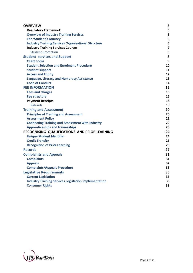| <b>OVERVIEW</b>                                              | 5                       |
|--------------------------------------------------------------|-------------------------|
| <b>Regulatory Framework</b>                                  | 5                       |
| <b>Overview of Industry Training Services</b>                | 5                       |
| The 'Student's Journey'                                      | $6\phantom{1}6$         |
| <b>Industry Training Services Organisational Structure</b>   | 6                       |
| <b>Industry Training Services Courses</b>                    | $\overline{\mathbf{z}}$ |
| <b>Student Protection</b>                                    | 8                       |
| <b>Student services and Support</b>                          | 8                       |
| <b>Client focus</b>                                          | 8                       |
| <b>Student Selection and Enrolment Procedure</b>             | 10                      |
| <b>Student support</b>                                       | 11                      |
| <b>Access and Equity</b>                                     | 12                      |
| <b>Language, Literacy and Numeracy Assistance</b>            | 13                      |
| <b>Code of Conduct</b>                                       | 14                      |
| <b>FEE INFORMATION</b>                                       | 15                      |
| <b>Fees and charges</b>                                      | 15                      |
| <b>Fee structure</b>                                         | 16                      |
| <b>Payment Receipts</b>                                      | 18                      |
| <b>Refunds</b>                                               | 18                      |
| <b>Training and Assessment</b>                               | 20                      |
| <b>Principles of Training and Assessment</b>                 | 20                      |
| <b>Assessment Policy</b>                                     | 21                      |
| <b>Connecting Training and Assessment with Industry</b>      | 22                      |
| <b>Apprenticeships and traineeships</b>                      | 23                      |
| RECOGNISING QUALIFICATIONS AND PRIOR LEARNING                | 24                      |
| <b>Unique Student Identifier</b>                             | 24                      |
| <b>Credit Transfer</b>                                       | 25                      |
| <b>Recognition of Prior Learning</b>                         | 25                      |
| <b>Records</b>                                               | 27                      |
| <b>Complaints and Appeals</b>                                | 31                      |
| <b>Complaints</b>                                            | 31                      |
| <b>Appeals</b>                                               | 32                      |
| <b>Complaints/Appeals Procedure</b>                          | 33                      |
| <b>Legislative Requirements</b>                              | 35                      |
| <b>Current Legislation</b>                                   | 35                      |
| <b>Industry Training Services Legislation Implementation</b> | 36                      |
| <b>Consumer Rights</b>                                       | 38                      |
|                                                              |                         |

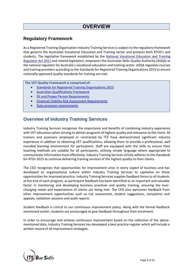# **OVERVIEW**

## **Regulatory Framework**

As a Registered Training Organisation Industry Training Services is subject to the regulatory framework that governs the Australian Vocational Education and Training sector and protects both RTOS's and students. The legislative framework established by the [National Vocational Education and Training](http://www.comlaw.gov.au/Details/C2011A00012)  [Regulator Act 2011](http://www.comlaw.gov.au/Details/C2011A00012) and related legislation, empowers the Australian Skills Quality Authority (ASQA) as the national regulator for Australia's vocational education and training sector. ASQA regulates courses and training providers according to the Standards for Registered Training Organisations 2015 to ensure nationally approved quality standards for training are met.

**The VET Quality Framework is comprised of:**

- [Standards for Registered Training Organisations 2015](http://www.comlaw.gov.au/Details/F2014L01377)
- [Australian Qualifications Framework](http://aqf.edu.au/)
- [Fit and Proper Person Requirements](https://www.legislation.gov.au/Series/F2011L01341)
- [Financial Viability Risk Assessment Requirements](https://www.legislation.gov.au/Details/F2011L01405)
- [Data provision requirements](https://www.legislation.gov.au/Details/F2013L00160)

## **Overview of Industry Training Services**

Industry Training Services recognises the importance and benefits of combining industry experience with VET education when striving to deliver programs of highest quality and relevance to the client. All trainers and assessors employed or contracted by ITS have demonstrated significant industry experience in addition to obtaining VET qualifications, allowing them to provide a professional, well rounded learning environment for participants. Staff are equipped with the skills to ensure their teaching methods are suitable for all participants, utilising simple language where appropriate to communicate information most effectively. Industry Training Servicesstrictly adheres to the Standards for RTOs 2015 to continue delivering training services of the highest quality to their clients.

The CEO recognises that opportunities for improvement arise in every aspect of business and has developed an organisational culture within Industry Training Services to capitalise on these opportunities for improved practice. Industry Training Servicessupplies feedback forms to all students at the end of each program, as participant feedback has been identified as an important and valuable factor in monitoring and developing business practices and quality training, ensuring the everchanging needs and expectations of clients are being met. The CEO also welcomes feedback from other improvement opportunities such as risk assessment, student suggestions, complaints and appeals, validation sessions and audit reports.

Student feedback is critical to our continuous improvement policy. Along with the formal feedback mentioned earlier, students are encouraged to give feedback throughout their enrolment.

In order to encourage and achieve continuous improvement based on the collection of the abovementioned data, Industry Training Services has developed a best practice register which will include a written record of all improvement strategies.

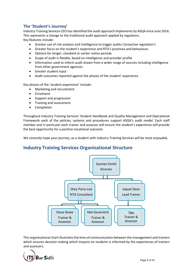## **The 'Student's Journey'**

Industry Training Services CEO has identified the audit approach implements by ASQA since June 2016. This represents a change to the traditional audit approach applied by regulators. Key features include:

- Greater use of risk analysis and intelligence to trigger audits ('proactive regulation')
- Greater focus on the student's experience and RTO's practices and behaviours
- Options for longer, standard or earlier notice periods
- Scope of audit is flexible, based on intelligence and provider profile
- Information used to inform audit drawn from a wider range of sources including intelligence from other government agencies
- Greater student input
- Audit outcomes reported against the phases of the student' experience

Key phases of the 'student experience' include:

- Marketing and recruitment
- Enrolment
- Support and progression
- Training and assessment
- Completion

Throughout Industry Training Services' Student Handbook and Quality Management and Operational Framework each of the policies, systems and procedures support ASQA's audit model. Each staff member and in particular each trainer and assessor will ensure the student's experience will provide the best opportunity for a positive vocational outcome.

We sincerely hope your journey, as a student with Industry Training Services will be most enjoyable.

## **Industry Training Services Organisational Structure**



This organisational chart illustrates the lines of communication between the management and trainers which ensures decision making which impacts on students is informed by the experiences of trainers and assessors.

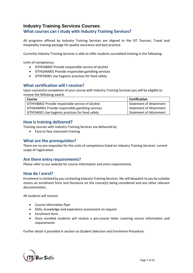## **Industry Training Services Courses**

## **What courses can I study with Industry Training Services?**

All programs offered by Industry Training Services are aligned to the SIT Tourism, Travel and Hospitality training package for quality assurance and best practice.

Currently Industry Training Services is able to offer students accredited training in the following:

Units of competency:

- SITHFAB002 Provide responsible service of alcohol
- SITHGAM001 Provide responsible gambling services
- SITXFSA001 Use hygienic practices for food safety

#### **What certification will I receive?**

Upon successful completion of your course with Industry Training Services you will be eligible to receive the following award.

| <b>Course</b>                                     | Certification           |
|---------------------------------------------------|-------------------------|
| SITHFAB002 Provide responsible service of alcohol | Statement of Attainment |
| SITHGAM001 Provide responsible gambling services  | Statement of Attainment |
| SITXFSA001 Use hygienic practices for food safety | Statement of Attainment |

## **How is training delivered?**

Training courses with Industry Training Services are delivered by:

• Face to face classroom training

## **What are the prerequisites?**

There are no pre-requisites for the units of competency listed on Industry Training Services' current scope of registration.

## **Are there entry requirements?**

Please refer to our website for course information and entry requirements.

## **How do I enrol?**

Enrolment is initiated by you contacting Industry Training Services. We will despatch to you by suitable means an enrolment form and literature on the course(s) being considered and any other relevant documentation.

All students will receive:

- Course information flyer
- Skills, knowledge and experience assessment on request
- Enrolment form
- Once enrolled students will receive a pre-course letter covering course information and requirements

Further detail is provided in section on Student Selection and Enrolment Procedure.

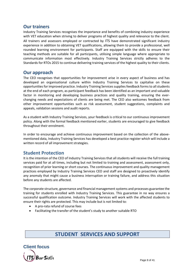## **Our trainers**

Industry Training Services recognises the importance and benefits of combining industry experience with VET education when striving to deliver programs of highest quality and relevance to the client. All trainers and assessors employed or contracted by ITS have demonstrated significant industry experience in addition to obtaining VET qualifications, allowing them to provide a professional, well rounded learning environment for participants. Staff are equipped with the skills to ensure their teaching methods are suitable for all participants, utilising simple language where appropriate to communicate information most effectively. Industry Training Services strictly adheres to the Standards for RTOs 2015 to continue delivering training services of the highest quality to their clients.

## **Our approach**

The CEO recognises that opportunities for improvement arise in every aspect of business and has developed an organisational culture within Industry Training Services to capitalise on these opportunities for improved practice. Industry Training Services supplies feedback forms to all students at the end of each program, as participant feedback has been identified as an important and valuable factor in monitoring and developing business practices and quality training, ensuring the everchanging needs and expectations of clients are being met. The CEO also welcomes feedback from other improvement opportunities such as risk assessment, student suggestions, complaints and appeals, validation sessions and audit reports.

As a student with Industry Training Services, your feedback is critical to our continuous improvement policy. Along with the formal feedback mentioned earlier, students are encouraged to give feedback throughout their enrolment.

In order to encourage and achieve continuous improvement based on the collection of the abovementioned data, Industry Training Services has developed a best practice register which will include a written record of all improvement strategies.

## **Student Protection**

It is the intention of the CEO of Industry Training Services that all students will receive the full training services paid for at all times, including but not limited to training and assessment, assessment only, recognition of prior learning or short courses. The continuous improvement and quality management practices employed by Industry Training Services CEO and staff are designed to proactively identify any anomaly that might cause a business interruption or training failure, and address this situation before any students are affected.

The corporate structure, governance and financial management systems and processes guarantee the training for students enrolled with Industry Training Services. This guarantee in no way ensures a successful qualification outcome. Industry Training Services will work with the affected students to ensure their rights are protected. This may include but is not limited to:

- A pro-rata refund of course fees
- Facilitating the transfer of the student's study to another suitable RTO

## **STUDENT SERVICES AND SUPPORT**

**Client focus**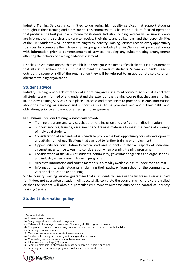Industry Training Services is committed to delivering high quality services that support students throughout their training and assessment. This commitment is based on a client focused operation that produces the best possible outcome for students. Industry Training Services will ensure students are informed of the services they are to receive, their rights and obligations, and the responsibilities of the RTO. Students who undertake training with Industry Training Services receive every opportunity to successfully complete their chosen training program. Industry Training Services will provide students with information prior to commencement of services including any subcontracting arrangements affecting the delivery of training and/or assessment.

ITS takes a systematic approach to establish and recognise the needs of each client. It is a requirement that all staff members do their utmost to meet the needs of students. Where a student's need is outside the scope or skill of the organisation they will be referred to an appropriate service or an alternate training organisation.

## **Student advice**

Industry Training Services delivers specialised training and assessment services<sup>1</sup>. As such, it is vital that all students are informed of and understand the extent of the training course that they are enrolling in. Industry Training Services has in place a process and mechanism to provide all clients information about the training, assessment and support services to be provided, and about their rights and obligations, prior to enrolment or entering into an agreement.

#### **In summary, Industry Training Services will provide:**

- Training programs and services that promote inclusion and are free from discrimination
- Support services, training, assessment and training materials to meet the needs of a variety of individual students
- Consideration of each individuals needs to provide the best opportunity for skill development and attainment of qualifications that can lead to further training or employment
- Opportunity for consultation between staff and students so that all aspects of individual circumstances can be taken into consideration when planning training programs
- Consideration of the views of students' community, government agencies and organisations, and industry when planning training programs
- Access to information and course materials in a readily available, easily understood format
- Information to assist students in planning their pathway from school or the community to vocational education and training

While Industry Training Services guarantees that all students will receive the full training services paid for, it does not guarantee a student will successfully complete the course in which they are enrolled or that the student will obtain a particular employment outcome outside the control of Industry Training Services.

## **Student information policy**

<sup>(</sup>k) Learning and assessment programs customised to the workplace.



<sup>&</sup>lt;sup>1</sup> Services include:

<sup>(</sup>a) Pre-enrolment materials;

<sup>(</sup>b) Study support and study skills programs;

<sup>(</sup>c) Referrals to Language, Literacy and Numeracy (LLN) programs if needed;

<sup>(</sup>d) Equipment, resources and/or programs to increase access for students with disabilities;

<sup>(</sup>e) Learning resource centres;

<sup>(</sup>f) Mediation services or referrals to these services;

<sup>(</sup>g) Flexible scheduling and delivery of training and assessment;

<sup>(</sup>h) Counselling services or referrals to these services;

<sup>(</sup>i) Information technology (IT) support;

<sup>(</sup>j) Learning materials in alternative formats, for example, in large print; and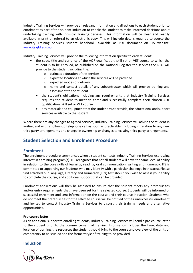Industry Training Services will provide all relevant information and directions to each student prior to enrolment as part of the student induction to enable the student to make informed decisions about undertaking training with Industry Training Services. This information will be clear and readily available in print or referral to an electronic copy. This will include details required to source the Industry Training Services student handbook, available as PDF document on ITS website: [www.its.qld.edu.au](http://www.its.qld.edu.au/)

Industry Training Services will provide the following information specific to each student:

- the code, title and currency of the AQF qualification, skill set or VET course to which the student is to be enrolled, as published on the National Register the services the RTO will provide to the student including the:
	- o estimated duration of the services
	- o expected locations at which the services will be provided
	- o expected modes of delivery
	- o name and contact details of any subcontractor which will provide training and assessment to the student
	- the student's obligations including any requirements that Industry Training Services requires the student to meet to enter and successfully complete their chosen AQF qualification, skill set or VET course
	- any materials and equipment that the student must provide; the educational and support services available to the student

Where there are any changes to agreed services, Industry Training Services will advise the student in writing and with a follow-up telephone call as soon as practicable, including in relation to any new third party arrangements or a change in ownership or changes to existing third party arrangements.

## **Student Selection and Enrolment Procedure**

## **Enrolment**

The enrolment procedure commences when a student contacts Industry Training Services expressing interest in a training program(s). ITS recognises that not all students will have the same level of ability in relation to the core skills of learning, reading, oral communication, writing and numeracy. ITS is committed to supporting our Students who may identify with a particular challenge in this area. Please find attached our Language, Literacy and Numeracy (LLN) test should you wish to assess your ability to complete the course, and additional support that can be provided.

Enrolment applications will then be assessed to ensure that the student meets any prerequisites and/or entry requirements that have been set for the selected course. Students will be informed of successful enrolment and sent information on the course and their course induction. Students who do not meet the prerequisites for the selected course will be notified of their unsuccessful enrolment and invited to contact Industry Training Services to discuss their training needs and alternative opportunities.

#### **Pre-course letter**

As an additional support to enrolling students, Industry Training Services will send a pre-course letter to the student prior to the commencement of training. Information includes the time, date and location of training, the resources the student should bring to the course and overview of the units of competency to be studied and the format/style of training to be provided.

## **Induction**

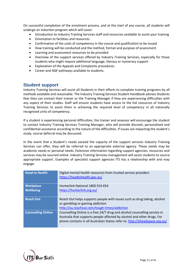On successful completion of the enrolment process, and at the start of any course, all students will undergo an induction program which will cover:

- Introduction to Industry Training Services staff and resources available to assist your training
- Orientation to facilities and resources
- Confirmation of the units of competency in the course and qualification to be issued
- How training will be conducted and the method, format and purpose of assessment
- Learning and assessment resources to be provided
- Overview of the support services offered by Industry Training Services, especially for those students who might require additional language, literacy or numeracy support
- Explanation of the Appeals and Complaints procedures
- Career and AQF pathways available to students.

## **Student support**

Industry Training Services will assist all Students in their efforts to complete training programs by all methods available and reasonable. The Industry Training Services Student Handbook advises Students that they can contact their trainer or the Training Manager if they are experiencing difficulties with any aspect of their studies. Staff will ensure students have access to the full resources of Industry Training Services to assist them in achieving the required level of competency in all nationally recognised units of competency.

If a student is experiencing personal difficulties, the trainer and assessor will encourage the student to contact Industry Training Services Training Manager, who will provide discreet, personalised and confidential assistance according to the nature of the difficulties. If issues are impacting the student's study, course deferral may be discussed.

In the event that a Student's needs exceed the capacity of the support services Industry Training Services can offer, they will be referred to an appropriate external agency. These needs may be academic needs or personal needs. Extensive information regarding support agencies, resources and services may be sourced online. Industry Training Services management will assist students to source appropriate support. Examples of specialist support agencies ITS has a relationship with and may engage:

| <b>Head to Health</b>     | Digital mental health resources from trusted service providers<br>https://headtohealth.gov.au/                                                                                                                                      |
|---------------------------|-------------------------------------------------------------------------------------------------------------------------------------------------------------------------------------------------------------------------------------|
| <b>Workplace</b>          | Hunterlink National 1800 554 654                                                                                                                                                                                                    |
| <b>Wellbeing</b>          | https://hunterlink.org.au/                                                                                                                                                                                                          |
| <b>Reach Out</b>          | Reach Out helps supports people with issues such as drug taking, alcohol<br>or gambling or gaming addiction<br>http://au.reachout.com/tough-times/addiction                                                                         |
| <b>Counselling Online</b> | Counselling Online is a free 24/7 drug and alcohol counselling service in<br>Australia that supports people affected by alcohol and other drugs. For<br>phone contacts in all Australian States refer to: http://eheadspace.org.au/ |

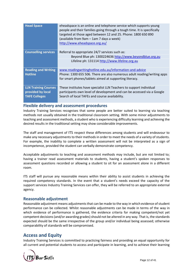| <b>Head Space</b>           | eheadspace is an online and telephone service which supports young<br>people and their families going through a tough time. It is specifically<br>targeted at those aged between 12 and 25. Phone: 1800 650 890<br>(available from 9am - 1am 7 days a week)<br>http://www.eheadspace.org.au/ |
|-----------------------------|----------------------------------------------------------------------------------------------------------------------------------------------------------------------------------------------------------------------------------------------------------------------------------------------|
| <b>Counselling services</b> | Referral to appropriate 24/7 services such as:                                                                                                                                                                                                                                               |
|                             | Beyond Blue ph: 1300224636 http://www.beyondblue.org.au                                                                                                                                                                                                                                      |
|                             | Lifeline ph: 131114 http://www.lifeline.org.au                                                                                                                                                                                                                                               |
| <b>Reading and Writing</b>  | www.readingwritinghotline.edu.au/information-and-advice                                                                                                                                                                                                                                      |
| <b>Hotline</b>              | Phone: 1300 655 506. There are also numerous adult reading/writing apps                                                                                                                                                                                                                      |
|                             | for smart phones/tablets aimed at supporting literacy.                                                                                                                                                                                                                                       |
| <b>LLN Training Courses</b> | These institutes have specialist LLN Teachers to support individual                                                                                                                                                                                                                          |
| provided by local           | participants own level of development and can be accessed via a Google                                                                                                                                                                                                                       |
| <b>TAFE Colleges</b>        | Search of local TAFEs and course availability.                                                                                                                                                                                                                                               |

#### **Flexible delivery and assessment procedures**

Industry Training Services recognises that some people are better suited to learning via teaching methods not usually obtained in the traditional classroom setting. With some minor adjustments to teaching and assessment methods, a student who is experiencing difficulty learning and achieving the desired results in the traditional setting may show considerable improvements.

The staff and management of ITS respect these differences among students and will endeavour to make any necessary adjustments to their methods in order to meet the needs of a variety of students. For example, the inability to complete a written assessment will not be interpreted as a sign of incompetence, provided the student can verbally demonstrate competency.

Acceptable adjustments to teaching and assessment methods may include, but are not limited to; having a trainer read assessment materials to students, having a student's spoken responses to assessment questions recorded or allowing a student to sit for an assessment alone in a different room.

ITS staff will pursue any reasonable means within their ability to assist students in achieving the required competency standards. In the event that a student's needs exceed the capacity of the support services Industry Training Services can offer, they will be referred to an appropriate external agency.

## **Reasonable adjustment**

Reasonable adjustment means adjustments that can be made to the way in which evidence of student performance can be collected. Whilst reasonable adjustments can be made in terms of the way in which evidence of performance is gathered, the evidence criteria for making competent/not yet competent decisions (and/or awarding grades) should not be altered in any way. That is, the standards expected should be the same irrespective of the group and/or individual being assessed; otherwise comparability of standards will be compromised.

## **Access and Equity**

Industry Training Services is committed to practicing fairness and providing an equal opportunity for all current and potential students to access and participate in learning, and to achieve their learning

Bar Skills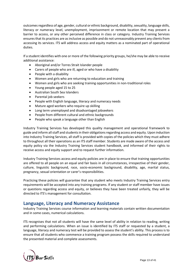outcomesregardless of age, gender, cultural or ethnic background, disability, sexuality, language skills, literacy or numeracy level, unemployment, imprisonment or remote location that may present a barrier to access, or any other perceived difference in class or category. Industry Training Services ensures that its practices are as inclusive as possible and do not unreasonably prevent any clients from accessing its services. ITS will address access and equity matters as a nominated part of operational duties.

If a student identifies with one or more of the following priority groups, he/she may be able to receive additional assistance:

- Aboriginal and/or Torres Strait Islander people
- Carers of people who are ill, aged or who have a disability
- People with a disability
- Women and girls who are returning to education and training
- Women and girls who are seeking training opportunities in non-traditional roles
- Young people aged 15 to 25
- Australian South Sea Islanders
- Parental job seekers
- People with English language, literacy and numeracy needs
- Mature aged workers who require up skilling
- Long term unemployed and disadvantaged jobseekers
- People from different cultural and ethnic backgrounds
- People who speak a language other than English

Industry Training Services has developed this quality management and operational framework to guide and inform all staff and students in their obligations regarding access and equity. Upon induction into Industry Training Services, all staff is provided with copies of the policies which they must adhere to throughout all their operations as an ITS staff member. Students are made aware of the access and equity policy via the Industry Training Services student handbook, and informed of their rights to receive access and equity support and to request further information.

Industry Training Services access and equity policies are in place to ensure that training opportunities are offered to all people on an equal and fair basis in all circumstances, irrespective of their gender, culture, linguistic background, race, socio-economic background, disability, age, marital status, pregnancy, sexual orientation or carer's responsibilities.

Practicing these policies will guarantee that any student who meets Industry Training Services entry requirements will be accepted into any training programs. If any student or staff member have issues or questions regarding access and equity, or believes they have been treated unfairly, they will be directed to ITS's management for consultation.

## **Language, Literacy and Numeracy Assistance**

Industry Training Services course information and learning materials contain written documentation and in some cases, numerical calculations.

ITS recognises that not all students will have the same level of ability in relation to reading, writing and performing calculations. When an issue is identified by ITS staff or requested by a student, a language, literacy and numeracy test will be provided to assess the student's ability. This process is to ensure that all students who commence a training program possess the skills required to understand the presented material and complete assessments.

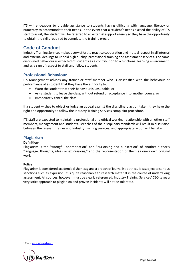ITS will endeavour to provide assistance to students having difficulty with language, literacy or numeracy to accommodate their needs. In the event that a student's needs exceed the ability of ITS staff to assist, the student will be referred to an external support agency so they have the opportunity to obtain the skills required to complete the training program.

## **Code of Conduct**

Industry Training Services makes every effort to practice cooperation and mutual respect in all internal and external dealings to uphold high quality, professional training and assessment services. The same disciplined behaviour is expected of students as a contribution to a functional learning environment, and as a sign of respect to staff and fellow students.

## **Professional Behaviour**

ITS Management advises any trainer or staff member who is dissatisfied with the behaviour or performance of a student that they have the authority to:

- Warn the student that their behaviour is unsuitable, or
- Ask a student to leave the class, without refund or acceptance into another course, or
- Immediately cancel the class.

If a student wishes to object or lodge an appeal against the disciplinary action taken, they have the right and opportunity to follow the Industry Training Services complaint procedure.

ITS staff are expected to maintain a professional and ethical working relationship with all other staff members, management and students. Breaches of the disciplinary standards will result in discussion between the relevant trainer and Industry Training Services, and appropriate action will be taken.

## **Plagiarism**

#### **Definition**<sup>2</sup>

Plagiarism is the "wrongful appropriation" and "purloining and publication" of another [author'](http://en.wikipedia.org/wiki/Author)s "language, thoughts, ideas or expressions," and the representation of them as one's own [original](http://en.wikipedia.org/wiki/Original_work)  [work.](http://en.wikipedia.org/wiki/Original_work)

#### **Policy**

Plagiarism is considered academic dishonesty and a breach o[f journalistic](http://en.wikipedia.org/wiki/Journalistic_ethics) ethics. It is subject to serious sanctions such as [expulsion.](http://en.wikipedia.org/wiki/Expulsion_%28academia%29) It is quite reasonable to research material in the course of undertaking assessment. All sources, however, must be clearly referenced. Industry Training Services' CEO takes a very strict approach to plagiarism and proven incidents will not be tolerated.

<sup>2</sup> From [www.wikipedia.org](http://www.wikipedia.org/)

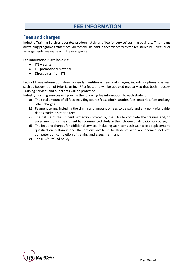# **FEE INFORMATION**

## **Fees and charges**

Industry Training Services operates predominately as a 'fee for service' training business. This means all training programs attract fees. All fees will be paid in accordance with the fee structure unless prior arrangements are made with ITS management.

Fee information is available via:

- ITS website
- ITS promotional material
- Direct email from ITS

Each of these information streams clearly identifies all fees and charges, including optional charges such as Recognition of Prior Learning (RPL) fees, and will be updated regularly so that both Industry Training Services and our clients will be protected.

Industry Training Services will provide the following fee information, to each student:

- a) The total amount of all fees including course fees, administration fees, materials fees and any other charges;
- b) Payment terms, including the timing and amount of fees to be paid and any non-refundable deposit/administration fee;
- c) The nature of the Student Protection offered by the RTO to complete the training and/or assessment once the student has commenced study in their chosen qualification or course;
- d) The fees and charges for additional services, including such items as issuance of a replacement qualification testamur and the options available to students who are deemed not yet competent on completion of training and assessment; and
- e) The RTO's refund policy.

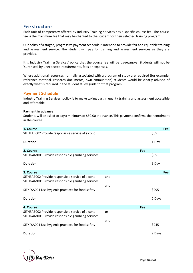## **Fee structure**

Each unit of competency offered by Industry Training Services has a specific course fee. The course fee is the maximum fee that may be charged to the student for their selected training program.

Our policy of a staged, progressive payment schedule is intended to provide fair and equitable training and assessment service. The student will pay for training and assessment services as they are provided.

It is Industry Training Services' policy that the course fee will be *all-inclusive*. Students will not be 'surprised' by unexpected requirements, fees or expenses.

Where additional resources normally associated with a program of study are required (for example; reference material, research documents, own ammunition) students would be clearly advised of exactly what is required in the student study guide for that program.

## **Payment Schedule**

Industry Training Services' policy is to make taking part in quality training and assessment accessible and affordable.

#### **Payment in advance**

Students will be asked to pay a minimum of \$50.00 in advance. This payment confirms their enrolment in the course.

| 1. Course                                                                                             |     |     |        | Fee |
|-------------------------------------------------------------------------------------------------------|-----|-----|--------|-----|
| SITHFAB002 Provide responsible service of alcohol                                                     |     |     | \$85   |     |
| <b>Duration</b>                                                                                       |     |     | 1 Day  |     |
| 2. Course                                                                                             |     | Fee |        |     |
| SITHGAM001 Provide responsible gambling services                                                      |     |     | \$85   |     |
| <b>Duration</b>                                                                                       |     |     | 1 Day  |     |
| 3. Course                                                                                             |     |     |        | Fee |
| SITHFAB002 Provide responsible service of alcohol<br>SITHGAM001 Provide responsible gambling services | and |     |        |     |
|                                                                                                       | and |     |        |     |
| SITXFSA001 Use hygienic practices for food safety                                                     |     |     | \$295  |     |
| <b>Duration</b>                                                                                       |     |     | 2 Days |     |
| 4. Course                                                                                             |     | Fee |        |     |
| SITHFAB002 Provide responsible service of alcohol<br>SITHGAM001 Provide responsible gambling services | or  |     |        |     |
|                                                                                                       | and |     |        |     |
| SITXFSA001 Use hygienic practices for food safety                                                     |     |     | \$245  |     |
| <b>Duration</b>                                                                                       |     |     | 2 Days |     |

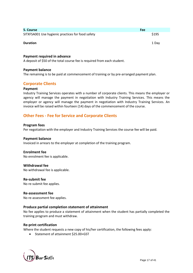| 5. Course                                         | Fee   |
|---------------------------------------------------|-------|
| SITXFSA001 Use hygienic practices for food safety | \$195 |
| <b>Duration</b>                                   | 1 Dav |

#### **Payment required in advance**

A deposit of \$50 of the total course fee is required from each student.

#### **Payment balance**

The remaining is to be paid at commencement of training or by pre-arranged payment plan.

#### **Corporate Clients**

#### **Payment**

Industry Training Services operates with a number of corporate clients. This means the employer or agency will manage the payment in negotiation with Industry Training Services. This means the employer or agency will manage the payment in negotiation with Industry Training Services. An invoice will be raised within fourteen (14) days of the commencement of the course.

## **Other Fees - Fee for Service and Corporate Clients**

#### **Program fees**

Per negotiation with the employer and Industry Training Services the course fee will be paid.

#### **Payment balance**

Invoiced in arrears to the employer at completion of the training program.

#### **Enrolment fee**

No enrolment fee is applicable.

#### **Withdrawal fee**

No withdrawal fee is applicable.

#### **Re-submit fee**

No re-submit fee applies.

#### **Re-assessment fee** No re-assessment fee applies.

#### **Produce partial completion statement of attainment**

No fee applies to produce a statement of attainment when the student has partially completed the training program and must withdraw.

#### **Re-print certification**

Where the student requests a new copy of his/her certification, the following fees apply:

• Statement of attainment \$25.00+GST

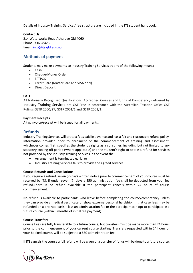Details of Industry Training Services' fee structure are included in the ITS student handbook.

**Contact Us**

214 Waterworks Road Ashgrove Qld 4060 Phone: 3366 8426 Email: [info@its.qld.edu.au](mailto:info@its.qld.edu.au)

## **Methods of payment**

Students may make payments to Industry Training Services by any of the following means:

- Cash
- Cheque/Money Order
- EFTPOS
- Credit Card (MasterCard and VISA only)
- Direct Deposit

#### **GST**

All Nationally Recognised Qualifications, Accredited Courses and Units of Competency delivered by Industry Training Services are GST-Free in accordance with the Australian Taxation Office GST Rulings GSTR 2000/27, GSTR 2001/1 and GSTR 2003/1.

#### **Payment Receipts**

A tax invoice/receipt will be issued for all payments.

## **Refunds**

Industry Training Services will protect fees paid in advance and has a fair and reasonable refund policy. Information provided prior to enrolment or the commencement of training and assessment, whichever comes first, specifies the student's rights as a consumer, including but not limited to any statutory cooling-off period (where applicable) and the student's right to obtain a refund for services not provided by the Industry Training Services in the event the:

- Arrangement is terminated early, or
- Industry Training Services fails to provide the agreed services.

#### **Course Refunds and Cancellations**

If you require a refund, seven (7) days written notice prior to commencement of your course must be received by ITS. If under seven (7) days a \$50 administration fee shall be deducted from your fee refund.There is no refund available if the participant cancels within 24 hours of course commencement.

No refund is available to participants who leave before completing the course/competency unless they can provide a medical certificate or show extreme personal hardship. In that case fees may be refunded on a pro-rata basis – less an administration fee or the participant can opt to participate in a future course (within 6 months of initial fee payment)

#### **Course Transfers**

Course Fees are fully transferable to a future course, but transfers must be made more than 24 hours prior to the commencement of your current course starting. Transfers requested within 24 hours of your booked course, will be subject to a \$50 administration fee.

If ITS cancels the course a full refund will be given or a transfer of funds will be done to a future course.

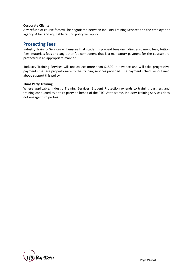#### **Corporate Clients**

Any refund of course fees will be negotiated between Industry Training Services and the employer or agency. A fair and equitable refund policy will apply.

## **Protecting fees**

Industry Training Services will ensure that student's prepaid fees (including enrolment fees, tuition fees, materials fees and any other fee component that is a mandatory payment for the course) are protected in an appropriate manner.

Industry Training Services will not collect more than \$1500 in advance and will take progressive payments that are proportionate to the training services provided. The payment schedules outlined above support this policy.

#### **Third Party Training**

Where applicable, Industry Training Services' Student Protection extends to training partners and training conducted by a third party on behalf of the RTO. At this time, Industry Training Services does not engage third parties.

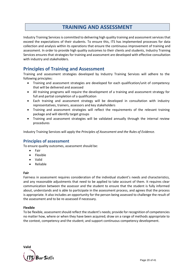# **TRAINING AND ASSESSMENT**

Industry Training Services is committed to delivering high quality training and assessment services that exceed the expectations of their students. To ensure this, ITS has implemented processes for data collection and analysis within its operations that ensure the continuous improvement of training and assessment. In order to provide high quality outcomes to their clients and students, Industry Training Services ensures that strategies for training and assessment are developed with effective consultation with industry and stakeholders.

## **Principles of Training and Assessment**

[Training and assessment strategies](file:///C:/Users/Helen/AppData/Local/Microsoft/Windows/Temporary%20Internet%20Files/Content.IE5/1VPGBX2T/Continuous%20Improvement/Training%20&%20Assessment%20Strategy) developed by Industry Training Services will adhere to the following principles:

- Training and assessment strategies are developed for each qualification/unit of competency that will be delivered and assessed
- All training programs will require the development of a training and assessment strategy for full and partial completion of a qualification
- Each training and assessment strategy will be developed in consultation with industry representatives, trainers, assessors and key stakeholders
- Training and assessment strategies will reflect the requirements of the relevant training package and will identify target groups
- Training and assessment strategies will be validated annually through the internal review procedures

Industry Training Services will apply the *Principles of Assessment and the Rules of Evidence*.

## **Principles of assessment**

To ensure quality outcomes, assessment should be:

- Fair
- Flexible
- Valid
- Reliable

#### **Fair**

Fairness in assessment requires consideration of the individual student's needs and characteristics, and any reasonable adjustments that need to be applied to take account of them. It requires clear communication between the assessor and the student to ensure that the student is fully informed about, understands and is able to participate in the assessment process, and agrees that the process is appropriate. It also includes an opportunity for the person being assessed to challenge the result of the assessment and to be re-assessed if necessary.

#### **Flexible**

To be flexible, assessment should reflect the student's needs; provide for recognition of competencies no matter how, where or when they have been acquired; draw on a range of methods appropriate to the context, competency and the student; and support continuous competency development.

**Valid**bar Skills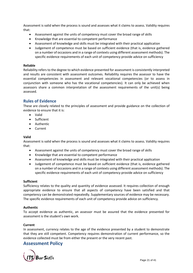Assessment is valid when the process is sound and assesses what it claims to assess. Validity requires that:

- Assessment against the units of competency must cover the broad range of skills
- Knowledge that are essential to competent performance
- Assessment of knowledge and skills must be integrated with their practical application
- Judgement of competence must be based on sufficient evidence (that is, evidence gathered on a number of occasions and in a range of contexts using different assessment methods). The specific evidence requirements of each unit of competency provide advice on sufficiency

#### **Reliable**

Reliability refers to the degree to which evidence presented for assessment is consistently interpreted and results are consistent with assessment outcomes. Reliability requires the assessor to have the essential competencies in assessment and relevant vocational competencies (or to assess in conjunction with someone who has the vocational competencies). It can only be achieved when assessors share a common interpretation of the assessment requirements of the unit(s) being assessed.

#### **Rules of Evidence**

These are closely related to the principles of assessment and provide guidance on the collection of evidence to ensure that it is:

- Valid
- Sufficient
- Authentic
- Current

#### **Valid**

Assessment is valid when the process is sound and assesses what it claims to assess. Validity requires that:

- Assessment against the units of competency must cover the broad range of skills
- Knowledge that are essential to competent performance
- Assessment of knowledge and skills must be integrated with their practical application
- Judgement of competence must be based on sufficient evidence (that is, evidence gathered on a number of occasions and in a range of contexts using different assessment methods). The specific evidence requirements of each unit of competency provide advice on sufficiency

#### **Sufficient**

Sufficiency relates to the quality and quantity of evidence assessed. It requires collection of enough appropriate evidence to ensure that all aspects of competency have been satisfied and that competency can be demonstrated repeatedly. Supplementary sources of evidence may be necessary. The specific evidence requirements of each unit of competency provide advice on sufficiency.

#### **Authentic**

To accept evidence as authentic, an assessor must be assured that the evidence presented for assessment is the student's own work.

#### **Current**

In assessment, currency relates to the age of the evidence presented by a student to demonstrate that they are still competent. Competency requires demonstration of current performance, so the evidence collected must be from either the present or the very recent past.

#### **Assessment Policy**

Bar Skills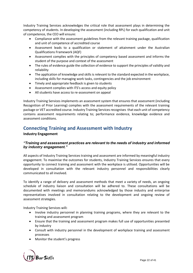Industry Training Services acknowledges the critical role that assessment plays in determining the competency of students. In developing the assessment (including RPL) for each qualification and unit of competence, the CEO will ensure:

- Compliance with the assessment guidelines from the relevant training package, qualification and unit of competence of accredited course
- Assessment leads to a qualification or statement of attainment under the Australian Qualifications Framework (AQF)
- Assessment complies with the principles of competency based assessment and informs the student of the purpose and context of the assessment
- The rules of evidence guide the collection of evidence to support the principles of validity and reliability
- The application of knowledge and skills is relevant to the standard expected in the workplace, including skills for managing work tasks, contingencies and the job environment
- Timely and appropriate feedback is given to students
- Assessment complies with ITS's access and equity policy
- All students have access to re-assessment on appeal

Industry Training Services implements an assessment system that ensures that assessment (including Recognition of Prior Learning) complies with the assessment requirements of the relevant training package or VET accredited course. Industry Training Servicesrecognises that each unit of competency contains assessment requirements relating to; performance evidence, knowledge evidence and assessment conditions.

## **Connecting Training and Assessment with Industry**

#### **Industry Engagement**

#### *"Training and assessment practices are relevant to the needs of industry and informed by industry engagement."*

All aspects of Industry Training Services training and assessment are informed by meaningful industry engagement. To maximise the outcomes for students, Industry Training Services ensures that every opportunity to connect training and assessment with the workplace is utilised. Opportunities will be developed in consultation with the relevant industry personnel and responsibilities clearly communicated to all involved.

To identify a range of delivery and assessment methods that meet a variety of needs, an ongoing schedule of industry liaison and consultation will be adhered to. These consultations will be documented with meetings and memorandums acknowledged by those industry and enterprise representatives involved in consultation relating to the development and ongoing review of assessment strategies.

Industry Training Services will**:**

- Involve industry personnel in planning training programs, where they are relevant to the training and assessment program
- Ensure that the training and assessment program makes full use of opportunities presented by industry
- Consult with industry personnel in the development of workplace training and assessment processes
- Monitor the student's progress

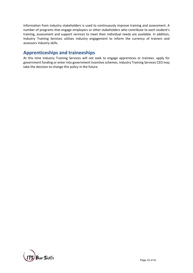Information from industry stakeholders is used to continuously improve training and assessment. A number of programs that engage employers or other stakeholders who contribute to each student's training, assessment and support services to meet their individual needs are available. In addition, Industry Training Services utilises industry engagement to inform the currency of trainers and assessors industry skills.

## **Apprenticeships and traineeships**

At this time Industry Training Services will not seek to engage apprentices or trainees. apply for government funding or enter into government incentive schemes. Industry Training Services CEO may take the decision to change this policy in the future.

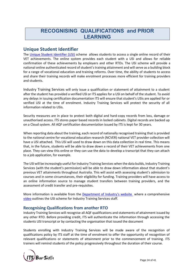# **RECOGNISING QUALIFICATIONS and PRIOR LEARNING**

## **Unique Student Identifier**

The [Unique Student Identifier \(USI\)](http://usi.gov.au/Pages/default.aspx) scheme allows students to access a single online record of their VET achievements. The online system provides each student with a USI and allows for reliable confirmation of these achievements by employers and other RTOs. The USI scheme will provide a national online authenticated record of student's training attainment and will serve as a building block for a range of vocational education and training reforms. Over time, the ability of students to access and share their training records will make enrolment processes more efficient for training providers and students.

Industry Training Services will only issue a qualification or statement of attainment to a student after the student has provided a verified USI or ITS applies for a USI on behalf of the student. To avoid any delays in issuing certification documentation ITS will ensure that student's USIs are applied for or verified USI at the time of enrolment. Industry Training Services will protect the security of all information related to USIs.

Security measures are in place to protect both digital and hard-copy records from loss, damage or unauthorised access. ITS stores paper based records in locked cabinets. Digital records are backed up on a Cloud system. All AQF certification documentation issued by ITS is kept for 30 years.

When reporting data about the training, each record of nationally recognised training that is provided to the national centre for vocational education research (NCVER) national VET provider collection will have a USI attached. This USI will used to draw down on this data collection in real time. This means that, in the future, students will be able to draw down a record of their VET achievements from one place. They can view this online or they can use the data to develop a transcript that they can attach to a job application, for example.

The USI will be increasingly useful for Industry Training Services when the data builds, Industry Training Services (with the student's permission) will be able to draw down information about that student's previous VET attainments throughout Australia. This will assist with assessing student's admission to courses and in some circumstances, their eligibility for funding. Training providers will have access to an online information source to manage student transfers between training providers, and the assessment of credit transfer and pre-requisites.

More information is available from the [Department of Industry's website](http://www.industry.gov.au/search/results.aspx?k=USI) where a comprehensive [video](http://www.industry.gov.au/transcripts/Pages/USI-Training-Organisation-Video.aspx) outlines the USI scheme for Industry Training Services staff.

## **Recognising Qualifications from another RTO**

Industry Training Services will recognise all AQF qualifications and statements of attainment issued by any other RTO. Before providing credit, ITS will authenticate the information through accessing the students USI transcript or by contacting the organisation that issued the document

Students enrolling with Industry Training Services will be made aware of the recognition of qualifications policy by ITS staff at the time of enrolment to offer the opportunity of recognition of relevant qualifications or statements of attainment prior to the commencement of training. ITS trainers will remind students of the policy progressively throughout the duration of their course.

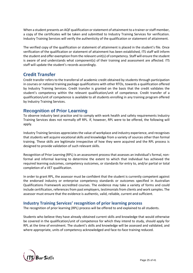When a student presents an AQF qualification or statement of attainment to a trainer or staff member, a copy of the certificates will be taken and submitted to Industry Training Services for verification. Industry Training Services will verify the authenticity of the qualification or statement of attainment.

The verified copy of the qualification or statement of attainment is placed in the student's file. Once verification of the qualification or statement of attainment has been established, ITS staff will inform the student and offer exemption from the relevant unit(s) of competency. Staff will ensure the student is aware of and understands what component(s) of their training and assessment are affected. ITS staff will update the student's records accordingly.

## **Credit Transfer**

Credit transfer refers to the transferral of academic credit obtained by students through participation in courses or national training package qualifications with other RTOs, towards a qualification offered by Industry Training Services. Credit transfer is granted on the basis that the credit validates the student's competency within the relevant qualification/unit of competence. Credit transfer of a qualification/unit of competence is available to all students enrolling in any training program offered by Industry Training Services.

## **Recognition of Prior Learning**

To observe industry best practice and to comply with work health and safety requirements Industry Training Services does not normally off RPL. If, however, RPL were to be offered, the following will apply.

Industry Training Services appreciates the value of workplace and industry experience, and recognises that students will acquire vocational skills and knowledge from a variety of sources other than formal training. These skills are legitimate irrespective of how they were acquired and the RPL process is designed to provide validation of such relevant skills.

Recognition of Prior Learning (RPL) is an assessment process that assesses an individual's formal, nonformal and informal learning to determine the extent to which that individual has achieved the required learning outcomes, competency outcomes, or standards for entry to, and/or partial or total completion of a VET qualification.

In order to grant RPL, the assessor must be confident that the student is currently competent against the endorsed industry or enterprise competency standards or outcomes specified in Australian Qualifications Framework accredited courses. The evidence may take a variety of forms and could include certification, references from past employers, testimonials from clients and work samples. The assessor must ensure that the evidence is authentic, valid, reliable, current and sufficient.

## **Industry Training Services' recognition of prior learning process**

The recognition of prior learning (RPL) process will be offered to and explained to all students.

Students who believe they have already obtained current skills and knowledge that would otherwise be covered in the qualification/unit of competence for which they intend to study, should apply for RPL at the time of enrolment. The student's skills and knowledge will be assessed and validated, and where appropriate, units of competency acknowledged and face-to-face training reduced.

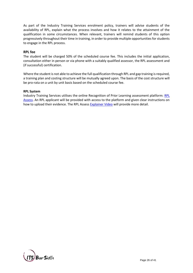As part of the Industry Training Services enrolment policy, trainers will advise students of the availability of RPL, explain what the process involves and how it relates to the attainment of the qualification in some circumstances. When relevant, trainers will remind students of this option progressively throughout their time in training, in order to provide multiple opportunities for students to engage in the RPL process.

#### **RPL fee**

The student will be charged 50% of the scheduled course fee. This includes the initial application, consultation either in person or via phone with a suitably qualified assessor, the RPL assessment and (if successful) certification.

Where the student is not able to achieve the full qualification through RPL and gap training is required, a training plan and costing structure will be mutually agreed upon. The basis of the cost structure will be pro-rata on a unit by unit basis based on the scheduled course fee.

#### **RPL System**

Industry Training Services utilises the online Recognition of Prior Learning assessment platform: [RPL](https://rplassess.com.au/)  [Assess.](https://rplassess.com.au/) An RPL applicant will be provided with access to the platform and given clear instructions on how to upload their evidence. The RPL Assess [Explainer Video](https://rplassess.com.au/rpl_assess_explainer_video.php) will provide more detail.

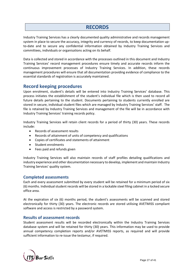# **RECORDS**

Industry Training Services has a clearly documented quality administrative and records management system in place to secure the accuracy, integrity and currency of records, to keep documentation upto-date and to secure any confidential information obtained by Industry Training Services and committees, individuals or organisations acting on its behalf.

Data is collected and stored in accordance with the processes outlined in this document and Industry Training Services' record management procedures ensure timely and accurate records inform the continuous improvement processes of Industry Training Services. In addition, these records management procedures will ensure that all documentation providing evidence of compliance to the essential standards of registration is accurately maintained.

## **Record keeping procedures**

Upon enrolment, student's details will be entered into Industry Training Services' database. This process initiates the establishment of the student's individual file which is then used to record all future details pertaining to the student. Documents pertaining to students currently enrolled are stored in secure, individual student files which are managed by Industry Training Services' staff. The file is retained by Industry Training Services and management of the file will be in accordance with Industry Training Services' training records policy.

Industry Training Services will retain client records for a period of thirty (30) years. These records include:

- Records of assessment results
- Records of attainment of units of competency and qualifications
- Copies of certificates and statements of attainment
- Student enrolments
- Fees paid and refunds given

Industry Training Services will also maintain records of staff profiles detailing qualifications and industry experience and other documentation necessary to develop, implement and maintain Industry Training Services' quality system.

#### **Completed assessments**

Each and every assessment submitted by every student will be retained for a minimum period of six (6) months. Individual student records will be stored in a lockable steel filing cabinet in a locked secure office area.

At the expiration of six (6) months period, the student's assessments will be scanned and stored electronically for thirty (30) years. The electronic records are stored utilising AVETMISS compliant software and access is restricted by a password system.

#### **Results of assessment records**

Student assessment results will be recorded electronically within the Industry Training Services database system and will be retained for thirty (30) years. This information may be used to provide annual competency completion reports and/or AVETMISS reports, as required and will provide sufficient information to re-issue the testamur, if required.

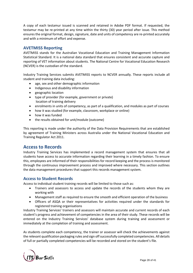A copy of each testamur issued is scanned and retained in Adobe PDF format. If requested, the testamur may be re-printed at any time within the thirty (30) year period after issue. This method ensures the original format, design, signature, date and units of competency are re-printed accurately and with a minimum of effort and expense.

## **AVETMISS Reporting**

AVETMISS stands for the Australian Vocational Education and Training Management Information Statistical Standard. It is a national data standard that ensures consistent and accurate capture and reporting of VET information about students. The National Centre for Vocational Education Research (NCVER) is the custodian of the standard.

Industry Training Services submits AVETMISS reports to NCVER annually. These reports include all student and training data including:

- age, sex and other demographic information
- Indigenous and disability information
- geographic location
- type of provider (for example, government or private) location of training delivery
- enrolments in units of competency, as part of a qualification, and modules as part of courses
- how it was studied (for example, classroom, workplace or online)
- how it was funded
- the results obtained for unit/module (outcome)

This reporting is made under the authority of the Data Provision Requirements that are established by agreement of Training Ministers across Australia under the National Vocational Education and Training Regulator Act 2011.

## **Access to Records**

Industry Training Services has implemented a record management system that ensures that all students have access to accurate information regarding their learning in a timely fashion. To ensure this, employees are informed of their responsibilities for record keeping and the process is monitored through the continuous improvement process and improved where necessary. This section outlines the data management procedures that support this records management system.

## **Access to Student Records**

Access to individual student training records will be limited to those such as:

- Trainers and assessors to access and update the records of the students whom they are working with
- Management staff as required to ensure the smooth and efficient operation of the business
- Officers of ASQA or their representatives for activities required under the standards for registered training organisations

Industry Training Services' trainers and assessors will maintain accurate and current records of each student's progress and achievement of competencies in the area of their study. These records will be entered on the Industry Training Services' database system during training and assessment or immediately at the completion of training and assessment.

As students complete each competency, the trainer or assessor will check the achievements against the relevant qualification packaging rules and sign off successfully completed competencies. All details of full or partially completed competencies will be recorded and stored on the student's file.

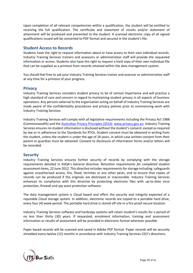Upon completion of all relevant competencies within a qualification, the student will be entitled to receiving the full qualification. The certificate and statement of results and/or statement of attainment will be produced and presented to the student. A scanned electronic copy of all signed qualifications issued will be converted to PDF format and secured in the student's file.

## **Student Access to Records**

Students have the right to request information about or have access to their own individual records. Industry Training Services trainers and assessors or administration staff will provide the requested information or access. Students also have the right to request a hard copy of their own individual file that can be supplied as a printout from records retained within the data management system.

You should feel free to ask your Industry Training Services trainer and assessor or administration staff at any time for a printout of your progress.

## **Privacy**

Industry Training Services considers student privacy to be of utmost importance and will practice a high standard of care and concern in regard to maintaining student privacy in all aspects of business operations. Any persons external to the organisation acting on behalf of Industry Training Services are made aware of the confidentiality procedures and privacy policies prior to commencing work with Industry Training Services.

Industry Training Services will comply with all legislative requirements including the Privacy Act 1988 (Commonwealth) and the [Australian Privacy Principles \(2014\).](https://www.oaic.gov.au/images/documents/privacy/privacy-resources/privacy-fact-sheets/privacy-fact-sheet-17-australian-privacy-principles_2.pdf) [www.privacy.gov.au.](http://www.privacy.gov.au/) Industry Training Services ensures no student information is disclosed without the student's consent, except as required by law or in adherence to the Standards for RTOs. Student consent must be obtained in writing from the student, unless the student is under the age of 18 years, in which case written consent from their parent or guardian must be obtained. Consent to disclosure of information forms and/or letters will be recorded.

## **Security**

Industry Training Services ensures further security of records by complying with the storage requirements detailed in ASQA's General directive: *Retention requirements for completed student assessment items,* 22 June 2012. This directive includes requirements for storage including:safeguards against unauthorised access, fire, flood, termites or any other pests, and to ensure that copies of records can be produced if the originals are destroyed or inaccessible. Industry Training Services enhances its compliance with this directive by protecting electronic files with up-to-date virus protection, firewall and spy ware protection software.

The data management system is Cloud based and offers the security and integrity expected of a reputable Cloud storage system. In addition, electronic records are copied to a portable hard drive, every four (4) week period. The portable hard drive is stored off site in a fire proof secure location.

Industry Training Services software and hardcopy systems will retain student's results for a period of no less than thirty (30) years. If requested, enrolment information, training and assessment information or results of assessment will be provided in electronic format wherever possible.

Paper based records will be scanned and saved in Adobe PDF format. Paper records will be securely shredded every twelve (12) months in accordance with Industry Training Services CEO's directions.

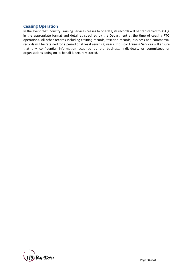## **Ceasing Operation**

In the event that Industry Training Services ceases to operate, its records will be transferred to ASQA in the appropriate format and detail as specified by the Department at the time of ceasing RTO operations. All other records including training records, taxation records, business and commercial records will be retained for a period of at least seven (7) years. Industry Training Services will ensure that any confidential information acquired by the business, individuals, or committees or organisations acting on its behalf is securely stored.

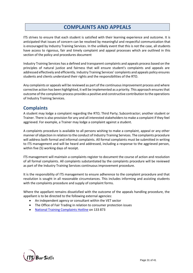# **COMPLAINTS AND APPEALS**

ITS strives to ensure that each student is satisfied with their learning experience and outcome. It is anticipated that issues of concern can be resolved by meaningful and respectful communication that is encouraged by Industry Training Services. In the unlikely event that this is not the case, all students have access to rigorous, fair and timely complaint and appeal processes which are outlined in this section of the policy and procedures document

Industry Training Services has a defined and transparent complaints and appeals process based on the principles of natural justice and fairness that will ensure student's complaints and appeals are addressed effectively and efficiently. Industry Training Services' complaints and appeals policy ensures students and clients understand their rights and the responsibilities of the RTO.

Any complaints or appeals will be reviewed as part of the continuous improvement process and where corrective action has been highlighted, it will be implemented as a priority. This approach ensures that outcome of the complaints process provides a positive and constructive contribution to the operations of Industry Training Services.

## **Complaints**

A student may lodge a complaint regarding the RTO; Third Party; Subcontractor; another student or Trainer. There is also provision for any and all interested stakeholders to make a complaint if they feel aggrieved. For example, a Trainer may lodge a complaint against a student.

A complaints procedure is available to all persons wishing to make a complaint, appeal or any other manner of objection in relation to the conduct of Industry Training Services. The complaints procedure will address both formal and informal complaints. All formal complaints must be submitted in writing to ITS management and will be heard and addressed, including a response to the aggrieved person, within five (5) working days of receipt.

ITS management will maintain a complaints register to document the course of action and resolution of all formal complaints. All complaints substantiated by the complaints procedure will be reviewed as part of the Industry Training Services continuous improvement procedure.

It is the responsibility of ITS management to ensure adherence to the complaint procedure and that resolution is sought in all reasonable circumstances. This includes informing and assisting students with the complaints procedure and supply of complaint forms.

Where the appellant remains dissatisfied with the outcome of the appeals handling procedure, the appellant is to be directed to the following external agencies:

- An independent agency or consultant within the VET sector
- The Office of Fair Trading in relation to consumer protection issues
- [National Training Complaints Hotline](https://www.education.gov.au/national-training-complaints-hotline-1) on 133 873

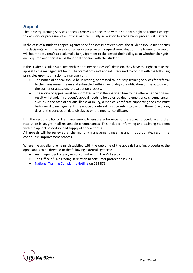# **Appeals**

The Industry Training Services appeals process is concerned with a student's right to request change to decisions or processes of an official nature, usually in relation to academic or procedural matters.

In the case of a student's appeal against specific assessment decisions, the student should first discuss the decision(s) with the relevant trainer or assessor and request re-evaluation. The trainer or assessor will hear the student's appeal, make fair judgement to the best of their ability as to whether change(s) are required and then discuss their final decision with the student.

If the student is still dissatisfied with the trainer or assessor's decision, they have the right to take the appeal to the management team. The formal notice of appeal is required to comply with the following principles upon submission to management:

- The notice of appeal should be in writing, addressed to Industry Training Services for referral to the management team and submitted within five (5) days of notification of the outcome of the trainer or assessors re-evaluation process.
- The notice of appeal must be submitted within the specified timeframe otherwise the original result will stand. If a student's appeal needs to be deferred due to emergency circumstances, such as in the case of serious illness or injury, a medical certificate supporting the case must be forward to management. The notice of deferral must be submitted within three (3) working days of the conclusion date displayed on the medical certificate.

It is the responsibility of ITS management to ensure adherence to the appeal procedure and that resolution is sought in all reasonable circumstances. This includes informing and assisting students with the appeal procedure and supply of appeal forms.

All appeals will be reviewed at the monthly management meeting and, if appropriate, result in a continuous improvement process.

Where the appellant remains dissatisfied with the outcome of the appeals handling procedure, the appellant is to be directed to the following external agencies:

- An independent agency or consultant within the VET sector
- The Office of Fair Trading in relation to consumer protection issues
- [National Training Complaints Hotline](https://www.education.gov.au/national-training-complaints-hotline-1) on 133 873

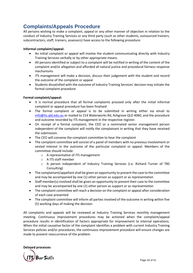# **Complaints/Appeals Procedure**

All persons wishing to make a complaint, appeal or any other manner of objection in relation to the conduct of Industry Training Services or any third party (such as other students, outsourced trainers, subcontractors, staff, trainers, assessors) have access to the following procedure:

#### **Informal complaint/appeal:**

- An initial complaint or appeal will involve the student communicating directly with Industry Training Services verbally or by other appropriate means.
- All persons identified or subject to a complaint will be notified in writing of the content of the complaint and/or allegation and afforded all natural justice and procedural fairness response mechanisms
- ITS management will make a decision, discuss their judgement with the student and record the outcome of the complaint or appeal
- Students dissatisfied with the outcome of Industry Training Services' decision may initiate the formal complaint procedure

#### **Formal complaint/appeal:**

- It is normal procedure that all formal complaints proceed only after the initial informal complaint or appeal procedure has been finalised
- The formal complaint or appeal is to be submitted in writing either via email to [info@its.qld.edu.au](mailto:info@its.qld.edu.au) or mailed to 214 Waterworks Rd, Ashgrove QLD 4060, and the procedure and outcome recorded by ITS management in the respective register.
- On receipt of a formal complaint, the CEO or a nominated senior management person independent of the complaint will notify the complainant in writing that they have received the submission.
- The CEO will convene the complaint committee to hear the complaint
- The complaint committee will consist of a panel of members with no previous involvement or vested interest in the outcome of the particular complaint or appeal. Members of the committee should include:
	- o A representative of ITS management
	- o A ITS staff member
	- o A person independent of Industry Training Services (i.e. Richard Turner of TBS Consulting)
- The complainant/appellant shall be given an opportunity to present the case to the committee and may be accompanied by one (1) other person as support or as representation
- Staff member(s) involved shall be given an opportunity to present their case to the committee and may be accompanied by one (1) other person as support or as representation
- The complaint committee will reach a decision on the complaint or appeal after consideration of each case presented
- The complaint committee will inform all parties involved of the outcome in writing within five (5) working days of making the decision

All complaints and appeals will be reviewed at Industry Training Services monthly management meeting. Continuous improvement procedures may be actioned when the complaint/appeal procedure results in identification of factors appropriate for improvement to internal operations. When the initial causative factor of the complaint identifies a problem with current Industry Training Services policies and/or procedures, the continuous improvement procedure will ensure changes are made to prevent reoccurrence of the problem.

**Delayed processes**

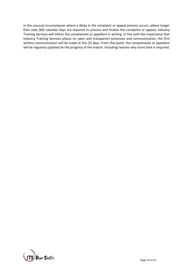In the unusual circumstances where a delay in the complaint or appeal process occurs, where longer than sixty (60) calendar days are required to process and finalise the complaint or appeal, Industry Training Services will inform the complainant or appellant in writing. In line with the importance that Industry Training Services places on open and transparent processes and communication, the first written communication will be made at five (5) days. From that point, the complainants or appellant will be regularly updated on the progress of the matter. Including reasons why more time is required.

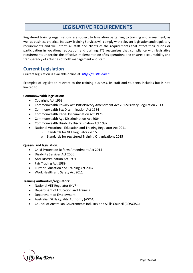# **LEGISLATIVE REQUIREMENTS**

Registered training organisations are subject to legislation pertaining to training and assessment, as well as business practice. Industry Training Services will comply with relevant legislation and regulatory requirements and will inform all staff and clients of the requirements that affect their duties or participation in vocational education and training. ITS recognises that compliance with legislative requirements underpins the effective implementation of its operations and ensures accountability and transparency of activities of both management and staff.

## **Current Legislation**

Current legislation is available online at: *[http://austlii.edu.au](http://austlii.edu.au/)*

Examples of legislation relevant to the training business, its staff and students includes but is not limited to:

#### **Commonwealth legislation:**

- Copyright Act 1968
- Commonwealth Privacy Act 1988/Privacy Amendment Act 2012/Privacy Regulation 2013
- Commonwealth Sex Discrimination Act 1984
- Commonwealth Racial Discrimination Act 1975
- Commonwealth Age Discrimination Act 2004
- Commonwealth Disability Discrimination Act 1992
- National Vocational Education and Training Regulator Act 2011
	- o Standards for VET Regulators 2015
	- o Standards for registered Training Organisations 2015

#### **Queensland legislation:**

- Child Protection Reform Amendment Act 2014
- Disability Services Act 2006
- Anti-Discrimination Act 1991
- Fair Trading Act 1989
- Further Education and Training Act 2014
- Work Health and Safety Act 2011

#### **Training authorities/regulators:**

- National VET Regulator (NVR)
- Department of Education and Training
- Department of Employment
- Australian Skills Quality Authority (ASQA)
- Council of Australian Governments Industry and Skills Council (COAGISC)

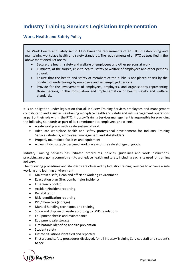# **Industry Training Services Legislation Implementation**

## **Work, Health and Safety Policy**

The Work Health and Safety Act 2011 outlines the requirements of an RTO in establishing and maintaining workplace health and safety standards. The requirements of an RTO as specified in the above mentioned Act are to:

- Secure the health, safety and welfare of employees and other persons at work
- Eliminate, at the source, risks to health, safety or welfare of employees and other persons at work
- Ensure that the health and safety of members of the public is not placed at risk by the conduct of undertakings by employers and self employed persons
- Provide for the involvement of employees, employers, and organisations representing those persons, in the formulation and implementation of health, safety and welfare standards.

It is an obligation under legislation that all Industry Training Services employees and management contribute to and assist in maintaining workplace health and safety and risk management operations as part of their role within the RTO. Industry Training Services management is responsible for providing the following standards as part of its commitment to employees and clients:

- A safe workplace, with a safe system of work
- Adequate workplace health and safety professional development for Industry Training Services students, employees, management and stakeholders
- Properly maintained facilities and equipment
- A clean, tidy, suitably designed workplace with the safe storage of goods.

Industry Training Services has initiated procedures, policies, guidelines and work instructions, practicing an ongoing commitment to workplace health and safety including each site used for training delivery.

The following procedures and standards are observed by Industry Training Services to achieve a safe working and learning environment:

- Maintain a safe, clean and efficient working environment
- Evacuation plan (fire, bomb, major incident)
- Emergency control
- Accident/Incident reporting
- Rehabilitation
- Risk identification reporting
- PPE/chemicals (storage)
- Manual handling techniques and training
- Store and dispose of waste according to WHS regulations
- Equipment checks and maintenance
- Equipment safe storage
- Fire hazards identified and fire prevention
- Student safety
- Unsafe situations identified and reported
- First aid and safety procedures displayed, for all Industry Training Services staff and student's to see

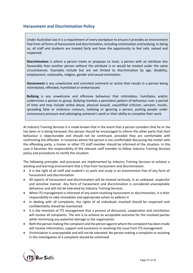## **Harassment and Discrimination Policy**

Under Australian law it is a requirement of every workplace to ensure it provides an environment free from all forms of harassment and discrimination, including victimisation and bullying. In doing so, all staff and students are treated fairly and have the opportunity to feel safe, valued and respected.

**Discrimination** is where a person treats or proposes to treat, a person with an attribute less favourably than another person without the attribute is or would be treated under the same circumstances. Examples include but are not limited to discrimination by age, disability, employment, nationality, religion, gender and sexual orientation.

**Harassment** is any unwelcome and uninvited comment or action that results in a person being intimidated, offended, humiliated or embarrassed.

**Bullying** is any unwelcome and offensive behaviour that intimidates, humiliates and/or undermines a person or group. Bullying involves a persistent pattern of behaviour over a period of time and may include verbal abuse, physical assault, unjustified criticism, sarcasm, insults, spreading false or malicious rumours, isolating or ignoring a person, putting people under unnecessary pressure and sabotaging someone's work or their ability to complete their work.

At Industry Training Services it is made known that in the event that a person considers that he or she has been or is being harassed, this person should be encouraged to inform the other party that their behaviour is objectionable and should not be continued, provided they are comfortable with confronting the offender. In instances where the person is not comfortable discussing the matter with the offending party, a trainer or other ITS staff member should be informed of the situation. In this case it becomes the responsibility of the relevant staff member to follow Industry Training Services policy and procedures to rectify the situation.

The following principles and processes are implemented by Industry Training Services to achieve a working and learning environment that is free from harassment and discrimination:

- It is the right of all staff and student's to work and study in an environment free of any form of harassment and discrimination
- All reports of harassment and discrimination will be treated seriously, in an unbiased, respectful and sensitive manner. Any form of harassment and discrimination is considered unacceptable behaviour and will not be tolerated by Industry Training Services
- When ITS management is informed of any event involving harassment or discrimination, it is their responsibility to take immediate and appropriate action to address it
- In dealing with all complaints, the rights of all individuals involved should be respected and confidentiality should be maintained
- It is the intention of ITS management that a process of discussion, cooperation and conciliation will resolve all complaints. The aim is to achieve an acceptable outcome for the involved parties while minimising any potential damage to the organisation
- Both the person making the complaint and the person against whom the complaint has been made will receive information, support and assistance in resolving the issue from ITS management
- Victimisation is unacceptable and will not be tolerated. No person making a complaint or assisting in the investigation of a complaint should be victimised

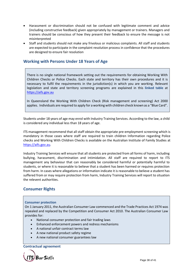- Harassment or discrimination should not be confused with legitimate comment and advice (including constructive feedback) given appropriately by management or trainers. Managers and trainers should be conscious of how they present their feedback to ensure the message is not misinterpreted
- Staff and students should not make any frivolous or malicious complaints. All staff and students are expected to participate in the complaint resolution process in confidence that the procedures are designed to ensure fair resolution

## **Working with Persons Under 18 Years of Age**

There is no single national framework setting out the requirements for obtaining Working With Children Checks or Police Checks. Each state and territory has their own procedures and it is necessary to fulfil the requirements in the jurisdiction(s) in which you are working. [Relevant](https://aifs.gov.au/cfca/publications/pre-employment-screening-working-children-checks-and-police-checks#table-1)  [legislation and state and territory screening programs](https://aifs.gov.au/cfca/publications/pre-employment-screening-working-children-checks-and-police-checks#table-1) are explained in this **[linked table](https://aifs.gov.au/cfca/publications/pre-employment-screening-working-children-checks-and-police-checks#table-1)** at [https://aifs.gov.au](https://aifs.gov.au/)

In Queensland the Working With Children Check (Risk management and screening) Act 2000 applies. Individuals are required to apply for a working with children check known as a "Blue Card".

Students under 18 years of age may enrol with Industry Training Services. According to the law, a child is considered any individual less than 18 years of age.

ITS management recommend that all staff obtain the appropriate pre-employment screening which is mandatory in those cases where staff are required to train children Information regarding Police checks and Working With Children Checks is available on the Australian Institute of Family Studies at [https://aifs.gov.au.](https://aifs.gov.au/)

Industry Training Services will ensure that all students are protected from all forms of harm, including bullying, harassment, discrimination and intimidation. All staff are required to report to ITS management any behaviour that can reasonably be considered harmful or potentially harmful to students, or where it is reasonable to believe that a student has been harmed or requires protection from harm. In cases where allegations or information indicate it is reasonable to believe a student has suffered from or may require protection from harm, Industry Training Services will report to situation the relevent authorities.

## **Consumer Rights**

#### **Consumer protection**

On 1 January 2011, the Australian Consumer Law commenced and the Trade Practices Act 1974 was repealed and replaced by the Competition and Consumer Act 2010. The Australian Consumer Law provides for:

- National consumer protection and fair trading laws
- Enhanced enforcement powers and redress mechanisms
- A national unfair contract terms law
- A new national product safety regime
- A new national consumer guarantees law

**Contractual agreement**

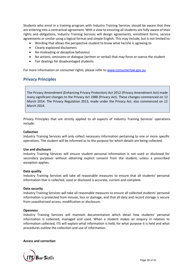Students who enrol in a training program with Industry Training Services should be aware that they are entering into a contractual agreement. With a view to ensuring all students are fully aware of their rights and obligations, Industry Training Services will design agreements, enrolment forms, service agreements or similar using a logical format and simple English. This may include, but is not limited to:

- Wording that allows the perspective student to know what he/she is agreeing to
- Clearly explained disclaimers
- No misleading or deceptive behaviour
- No actions, omissions or dialogue (written or verbal) that may force or coerce the student
- Fair dealings for disadvantaged students

For more information on consumer rights, please refer t[o www.consumerlaw.gov.au](http://www.consumerlaw.gov.au/)

## **Privacy Principles**

The Privacy Amendment (Enhancing Privacy Protection) Act 2012 (Privacy Amendment Act) made many significant changes to the Privacy Act 1988 (Privacy Act). These changes commenced on 12 March 2014. The Privacy Regulation 2013, made under the Privacy Act, also commenced on 12 March 2014.

Privacy Principles that are strictly applied to all aspects of Industry Training Services' operations include:

#### **Collection**

Industry Training Services will only collect necessary information pertaining to one or more specific operations. The student will be informed as to the purpose for which details are being collected.

#### **Use and disclosure**

Industry Training Services will ensure student personal information is not used or disclosed for secondary purposes without obtaining explicit consent from the student, unless a prescribed exception applies.

#### **Data quality**

Industry Training Services will take all reasonable measures to ensure that all students' personal information that is collected, used or disclosed is accurate, current and complete.

#### **Data security**

Industry Training Services will take all reasonable measures to ensure all collected students' personal information is protected from misuse, loss or damage, and that all data and record storage is secure from unauthorised access, modification or disclosure.

#### **Openness**

Industry Training Services will maintain documentation which detail how students' personal information is collected, managed and used. When a student makes an enquiry in relation to information collected, ITS will explain what information is held, for what purpose it is held and what procedures outline the collection and use of information.

#### **Access and correction**

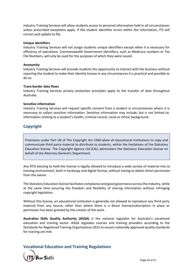Industry Training Services will allow students access to personal information held in all circumstances unless prescribed exceptions apply. If the student identifies errors within the information, ITS will correct and update to file.

#### **Unique identifiers**

Industry Training Services will not assign students unique identifiers except when it is necessary for efficiency of operations. Commonwealth Government identifiers, such as Medicare numbers or Tax File Numbers, will only be used for the purposes of which they were issued.

#### **Anonymity**

Industry Training Services will provide students the opportunity to interact with the business without requiring the student to make their identity known in any circumstances it is practical and possible to do so.

#### **Trans-border data flows**

Industry Training Services privacy protection principles apply to the transfer of data throughout Australia.

#### **Sensitive information**

Industry Training Services will request specific consent from a student in circumstances where it is necessary to collect sensitive information. Sensitive information may include, but is not limited to; information relating to a student's health, criminal record, racial or ethnic background**.**

## **Copyright**

Provisions under Part VB of The Copyright Act 1968 allow all educational institutions to copy and communicate third party material to distribute to students, within the limitations of the Statutory Education license. The Copyright Agency Ltd (CAL) administers the Statutory Education license on behalf of the Attorney General's Department.

Any RTO electing to hold this license is legally allowed to introduce a wide variety of material into its training environment, both in hardcopy and digital format, without having to obtain direct permission from the owner.

The Statutory Education license facilitates compliance and good governance across the industry, while at the same time ensuring the freedom and flexibility of sharing information without infringing copyright legislation.

Without this license, an educational institution is generally not allowed to reproduce any third party material from any source, other than where there is a direct license/subscription in place or permission has been granted by the creator of the work.

**Australian Skills Quality Authority (ASQA)** is the national regulator for Australia's vocational education and training sector. ASQA regulates courses and training providers according to the Standards for Registered Training Organisations 2015 to ensure nationally approved quality standards for training are met.

## **Vocational Education and Training Regulations**